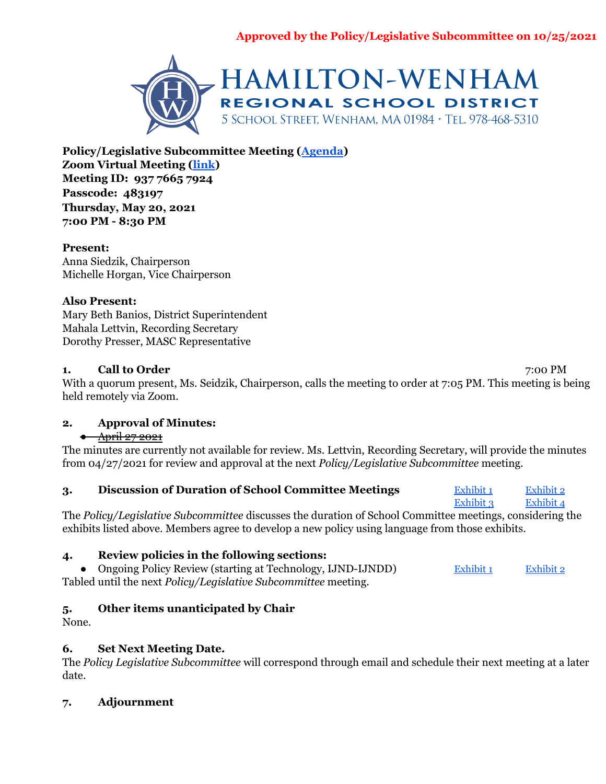

**Policy/Legislative Subcommittee Meeting ([Agenda](https://docs.google.com/document/d/1-0R8cEavy6tSsxkLNQX-lEyUO9xEpUj3IPN-ZPgUS1c/edit)) Zoom Virtual Meeting [\(link](https://zoom.us/j/93776657924?pwd=SW4yeWIyT3V4eUdSR2lCTXJ1c0dadz09)) Meeting ID: 937 7665 7924 Passcode: 483197 Thursday, May 20, 2021 7:00 PM - 8:30 PM**

## **Present:**

Anna Siedzik, Chairperson Michelle Horgan, Vice Chairperson

## **Also Present:**

Mary Beth Banios, District Superintendent Mahala Lettvin, Recording Secretary Dorothy Presser, MASC Representative

## **1. Call to Order** 7:00 PM

With a quorum present, Ms. Seidzik, Chairperson, calls the meeting to order at 7:05 PM. This meeting is being held remotely via Zoom.

## **2. Approval of Minutes:**

## ● April 27 2021

The minutes are currently not available for review. Ms. Lettvin, Recording Secretary, will provide the minutes from 04/27/2021 for review and approval at the next *Policy/Legislative Subcommittee* meeting.

| Discussion of Duration of School Committee Meetings | Exhibit 1 | Exhibit 2 |
|-----------------------------------------------------|-----------|-----------|
|-----------------------------------------------------|-----------|-----------|

[Exhibit](https://drive.google.com/file/d/1PADP3tMBfFgjjxg9_JfE97Id_lvMW2vD/view?usp=sharing) 3 Exhibit 4 The *Policy/Legislative Subcommittee* discusses the duration of School Committee meetings, considering the exhibits listed above. Members agree to develop a new policy using language from those exhibits.

# **4. Review policies in the following sections:**

• Ongoing Policy Review (starting at Technology, IJND-IJNDD) [Exhibit](https://drive.google.com/file/d/1JJZiET4XKCVsVRulE_LzKsMcd-q-sMNw/view?usp=sharing) 1 Exhibit 2 Tabled until the next *Policy/Legislative Subcommittee* meeting.

# **5. Other items unanticipated by Chair**

None.

# **6. Set Next Meeting Date.**

The *Policy Legislative Subcommittee* will correspond through email and schedule their next meeting at a later date.

# **7. Adjournment**